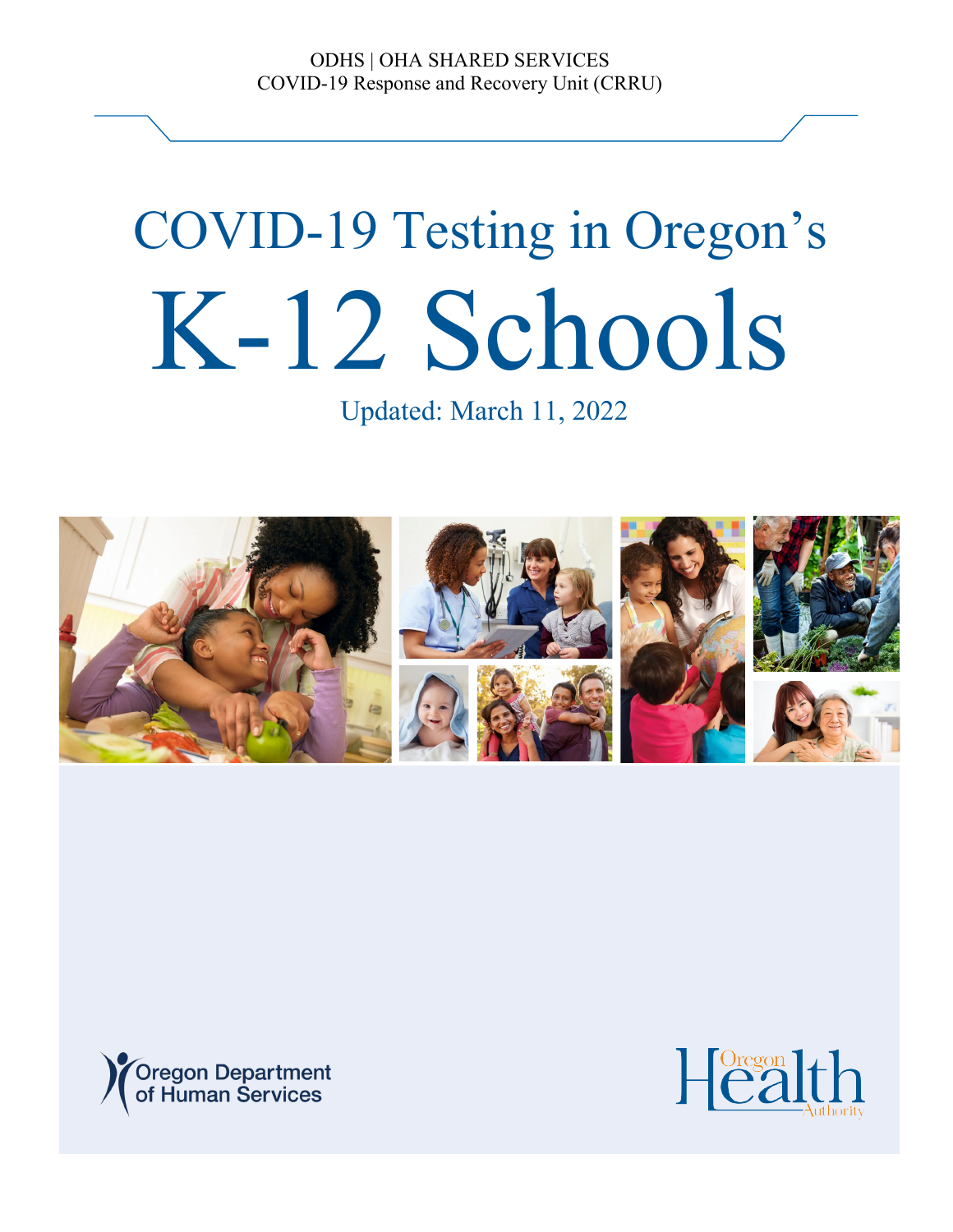ODHS | OHA SHARED SERVICES COVID-19 Response and Recovery Unit (CRRU)

# COVID-19 Testing in Oregon's K-12 Schools

Updated: March 11, 2022





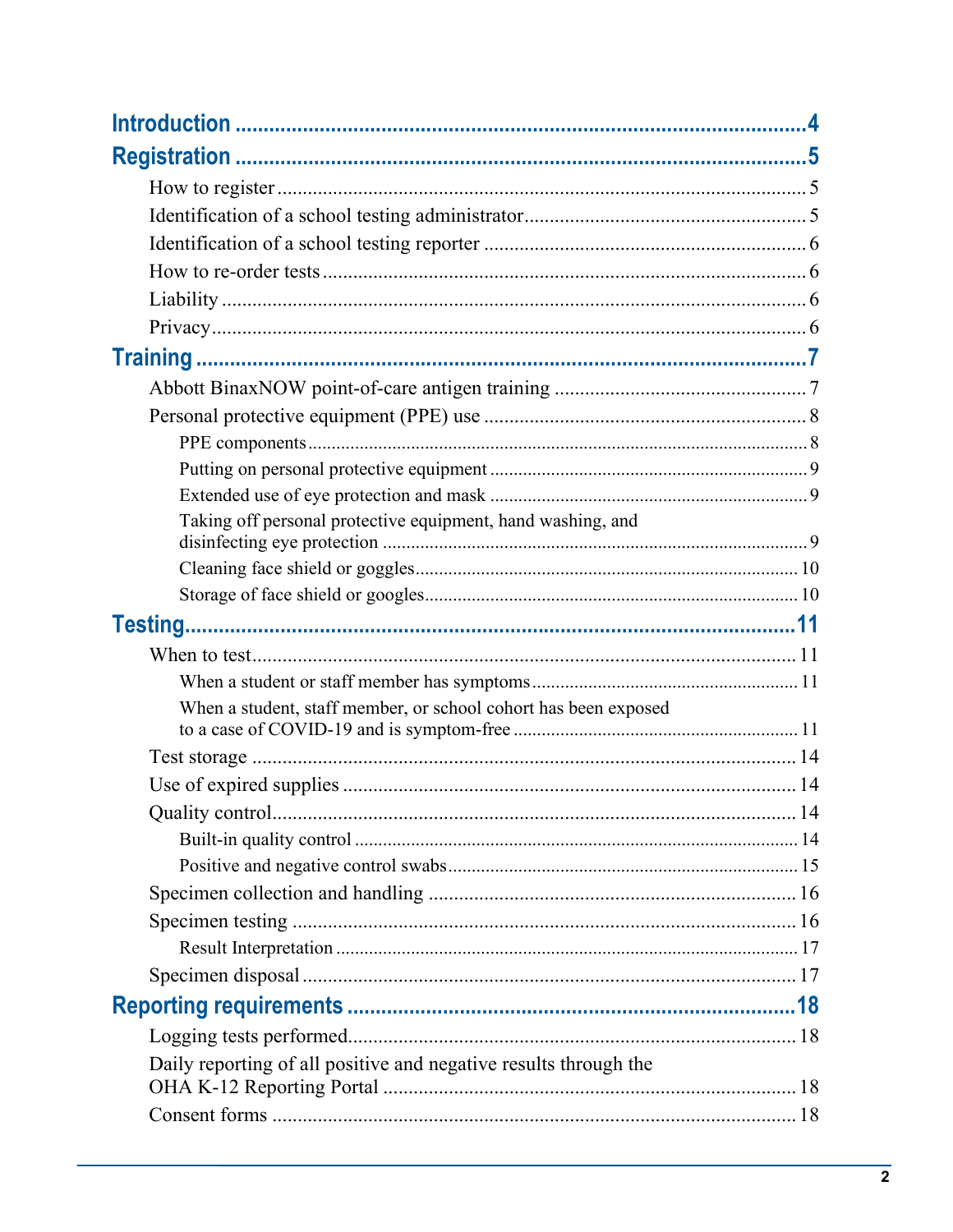| Taking off personal protective equipment, hand washing, and      |  |  |  |
|------------------------------------------------------------------|--|--|--|
|                                                                  |  |  |  |
|                                                                  |  |  |  |
|                                                                  |  |  |  |
|                                                                  |  |  |  |
|                                                                  |  |  |  |
| When a student, staff member, or school cohort has been exposed  |  |  |  |
|                                                                  |  |  |  |
|                                                                  |  |  |  |
|                                                                  |  |  |  |
|                                                                  |  |  |  |
|                                                                  |  |  |  |
|                                                                  |  |  |  |
|                                                                  |  |  |  |
|                                                                  |  |  |  |
|                                                                  |  |  |  |
|                                                                  |  |  |  |
|                                                                  |  |  |  |
| Daily reporting of all positive and negative results through the |  |  |  |
|                                                                  |  |  |  |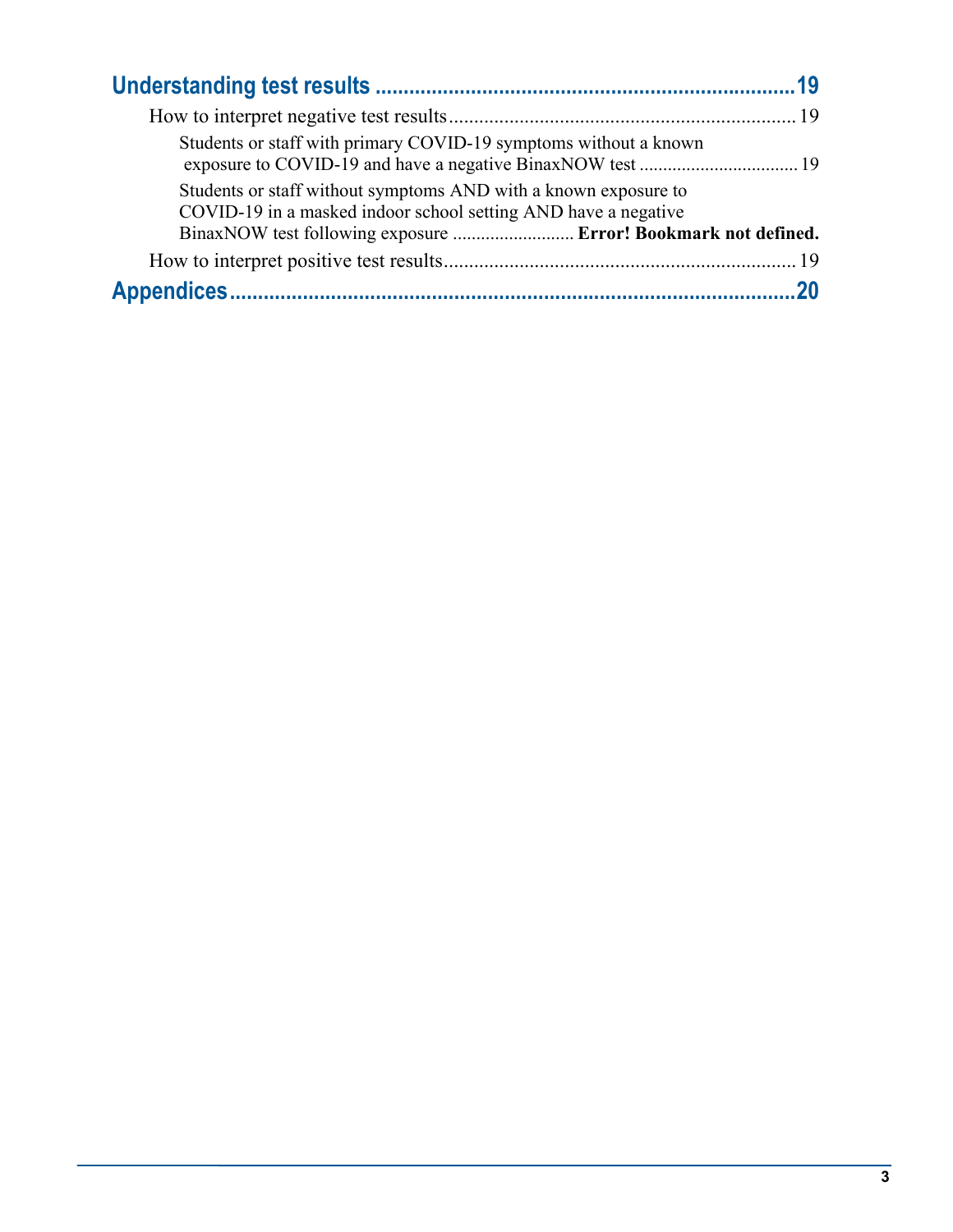| Students or staff with primary COVID-19 symptoms without a known                                                                  |  |
|-----------------------------------------------------------------------------------------------------------------------------------|--|
| Students or staff without symptoms AND with a known exposure to<br>COVID-19 in a masked indoor school setting AND have a negative |  |
| BinaxNOW test following exposure  Error! Bookmark not defined.                                                                    |  |
|                                                                                                                                   |  |
|                                                                                                                                   |  |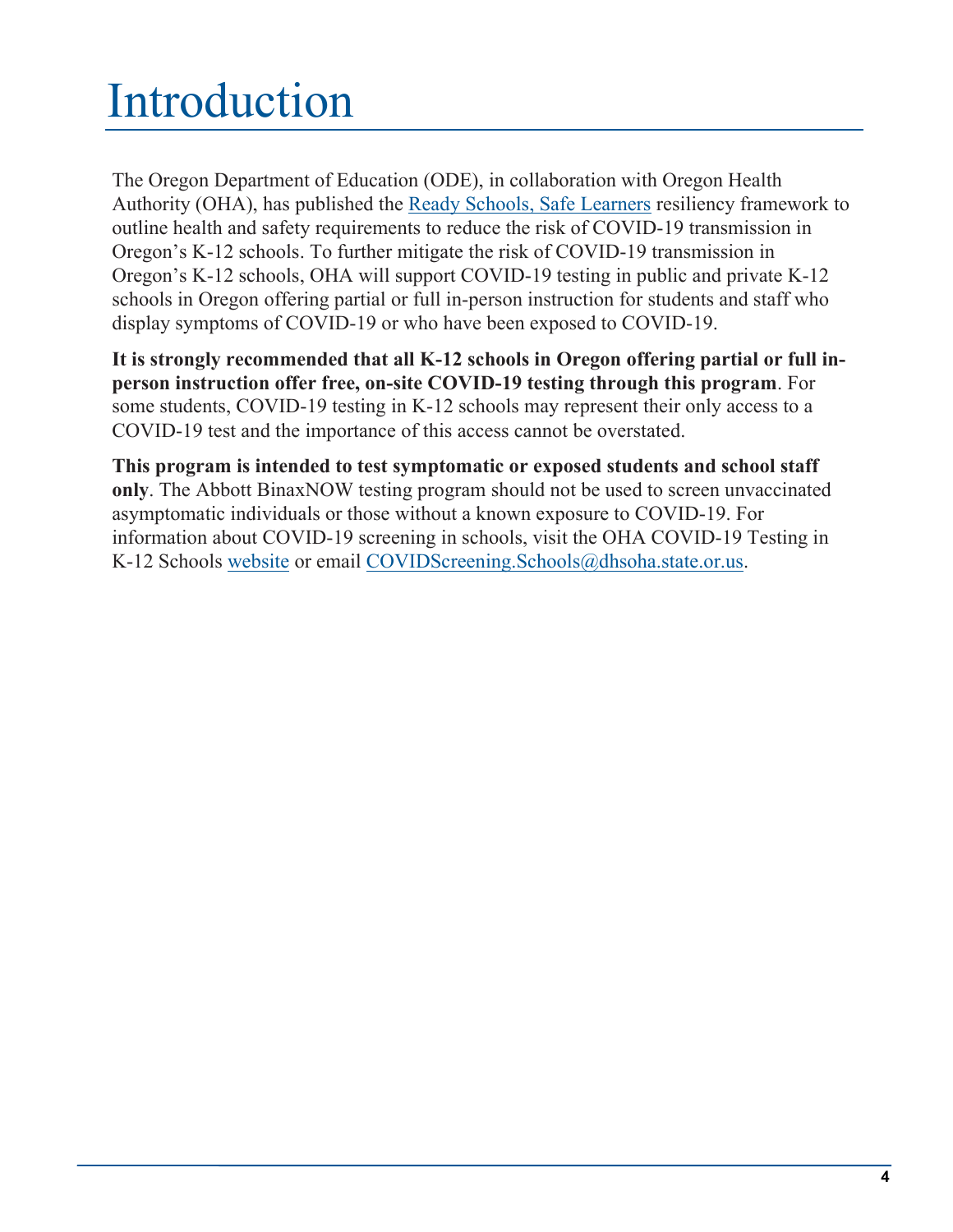# <span id="page-3-0"></span>Introduction

The Oregon Department of Education (ODE), in collaboration with Oregon Health Authority (OHA), has published the [Ready Schools, Safe Learners](https://www.oregon.gov/ode/students-and-family/healthsafety/Documents/Ready%20Schools%20Safe%20Learners%20Resiliency%20Framework%20for%20the%202021-22%20School%20Year.pdf) resiliency framework to outline health and safety requirements to reduce the risk of COVID-19 transmission in Oregon's K-12 schools. To further mitigate the risk of COVID-19 transmission in Oregon's K-12 schools, OHA will support COVID-19 testing in public and private K-12 schools in Oregon offering partial or full in-person instruction for students and staff who display symptoms of COVID-19 or who have been exposed to COVID-19.

**It is strongly recommended that all K-12 schools in Oregon offering partial or full inperson instruction offer free, on-site COVID-19 testing through this program**. For some students, COVID-19 testing in K-12 schools may represent their only access to a COVID-19 test and the importance of this access cannot be overstated.

**This program is intended to test symptomatic or exposed students and school staff only**. The Abbott BinaxNOW testing program should not be used to screen unvaccinated asymptomatic individuals or those without a known exposure to COVID-19. For information about COVID-19 screening in schools, visit the OHA COVID-19 Testing in K-12 Schools [website](https://www.oregon.gov/oha/covid19/Pages/K-12-COVID-19-Testing.aspx) or email [COVIDScreening.Schools@dhsoha.state.or.us.](mailto:COVIDScreening.Schools@dhsoha.state.or.us)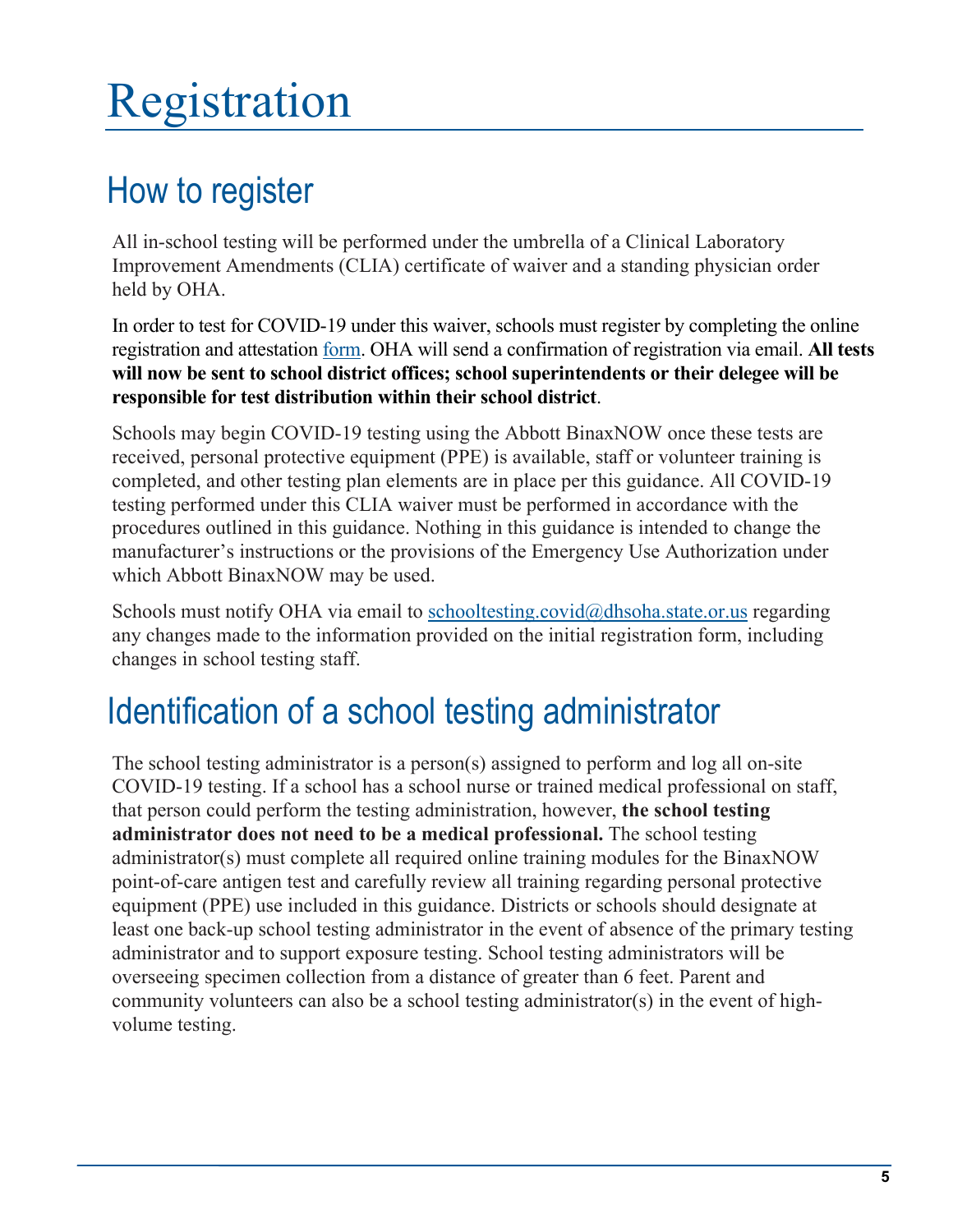# <span id="page-4-0"></span>Registration

### <span id="page-4-1"></span>How to register

All in-school testing will be performed under the umbrella of a Clinical Laboratory Improvement Amendments (CLIA) certificate of waiver and a standing physician order held by OHA.

In order to test for COVID-19 under this waiver, schools must register by completing the online registration and attestation [form.](https://app.smartsheet.com/b/form/9bd258e8053d4af6953100034c05d30d) OHA will send a confirmation of registration via email. **All tests will now be sent to school district offices; school superintendents or their delegee will be responsible for test distribution within their school district**.

Schools may begin COVID-19 testing using the Abbott BinaxNOW once these tests are received, personal protective equipment (PPE) is available, staff or volunteer training is completed, and other testing plan elements are in place per this guidance. All COVID-19 testing performed under this CLIA waiver must be performed in accordance with the procedures outlined in this guidance. Nothing in this guidance is intended to change the manufacturer's instructions or the provisions of the Emergency Use Authorization under which Abbott BinaxNOW may be used.

Schools must notify OHA via email to [schooltesting.covid@dhsoha.state.or.us](mailto:schooltesting.covid@dhsoha.state.or.us) regarding any changes made to the information provided on the initial registration form, including changes in school testing staff.

### <span id="page-4-2"></span>Identification of a school testing administrator

The school testing administrator is a person(s) assigned to perform and log all on-site COVID-19 testing. If a school has a school nurse or trained medical professional on staff, that person could perform the testing administration, however, **the school testing administrator does not need to be a medical professional.** The school testing administrator(s) must complete all required online training modules for the BinaxNOW point-of-care antigen test and carefully review all training regarding personal protective equipment (PPE) use included in this guidance. Districts or schools should designate at least one back-up school testing administrator in the event of absence of the primary testing administrator and to support exposure testing. School testing administrators will be overseeing specimen collection from a distance of greater than 6 feet. Parent and community volunteers can also be a school testing administrator(s) in the event of highvolume testing.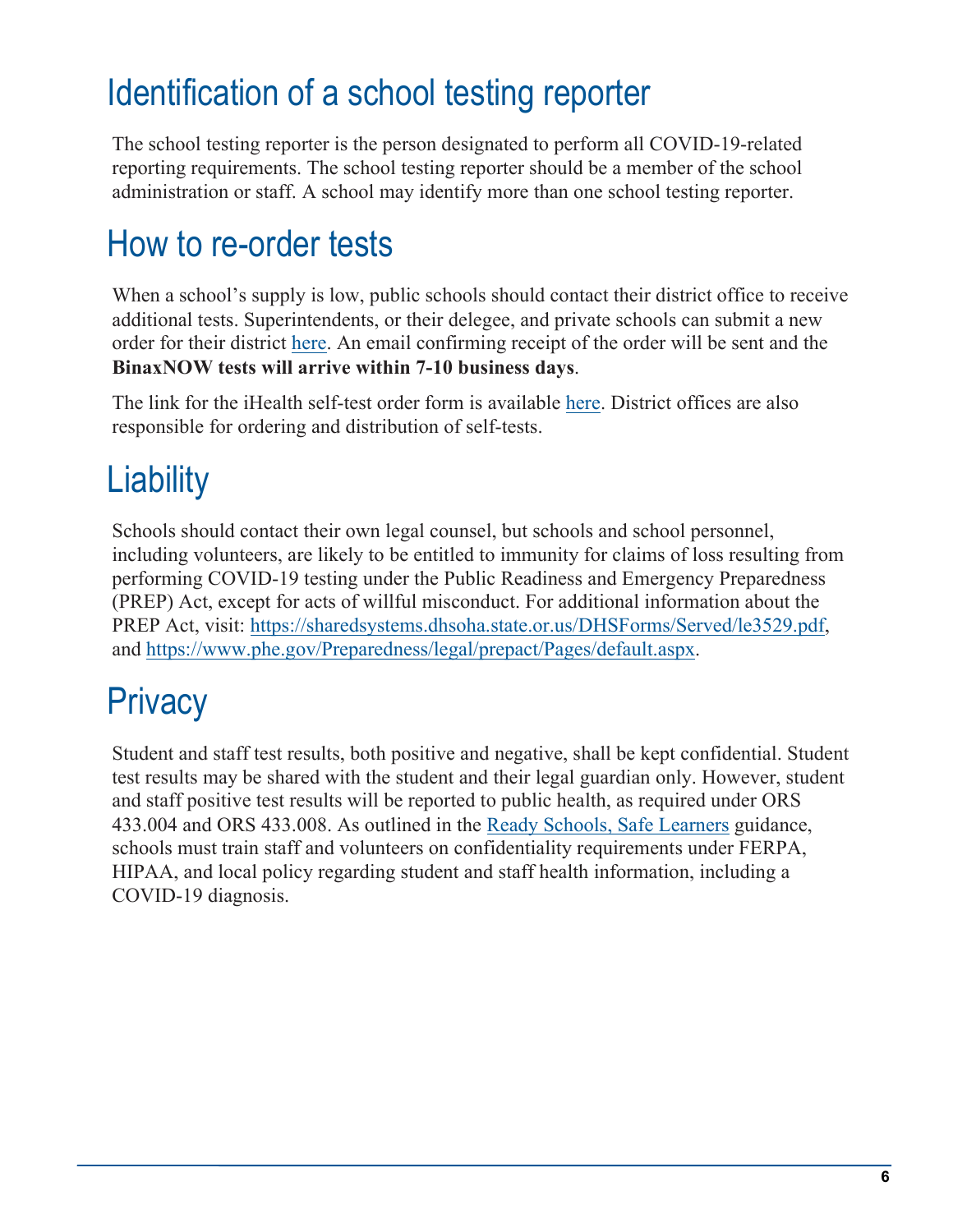### <span id="page-5-0"></span>Identification of a school testing reporter

The school testing reporter is the person designated to perform all COVID-19-related reporting requirements. The school testing reporter should be a member of the school administration or staff. A school may identify more than one school testing reporter.

### <span id="page-5-1"></span>How to re-order tests

When a school's supply is low, public schools should contact their district office to receive additional tests. Superintendents, or their delegee, and private schools can submit a new order for their district [here.](https://app.smartsheet.com/b/form/3103fe4e7dbb4b49932408cef8b401d4) An email confirming receipt of the order will be sent and the **BinaxNOW tests will arrive within 7-10 business days**.

The link for the iHealth self-test order form is available [here.](https://app.smartsheet.com/b/form/831e6bd4db324072b7720b6e64fcfa42) District offices are also responsible for ordering and distribution of self-tests.

### <span id="page-5-2"></span>**Liability**

Schools should contact their own legal counsel, but schools and school personnel, including volunteers, are likely to be entitled to immunity for claims of loss resulting from performing COVID-19 testing under the Public Readiness and Emergency Preparedness (PREP) Act, except for acts of willful misconduct. For additional information about the PREP Act, visit: [https://sharedsystems.dhsoha.state.or.us/DHSForms/Served/le3529.pdf,](https://sharedsystems.dhsoha.state.or.us/DHSForms/Served/le3529.pdf) and [https://www.phe.gov/Preparedness/legal/prepact/Pages/default.aspx.](https://www.phe.gov/Preparedness/legal/prepact/Pages/default.aspx)

### <span id="page-5-3"></span>**Privacy**

Student and staff test results, both positive and negative, shall be kept confidential. Student test results may be shared with the student and their legal guardian only. However, student and staff positive test results will be reported to public health, as required under ORS 433.004 and ORS 433.008. As outlined in the [Ready Schools, Safe Learners](https://www.oregon.gov/ode/students-and-family/healthsafety/Documents/Ready%20Schools%20Safe%20Learners%202020-21%20Guidance.pdf) guidance, schools must train staff and volunteers on confidentiality requirements under FERPA, HIPAA, and local policy regarding student and staff health information, including a COVID-19 diagnosis.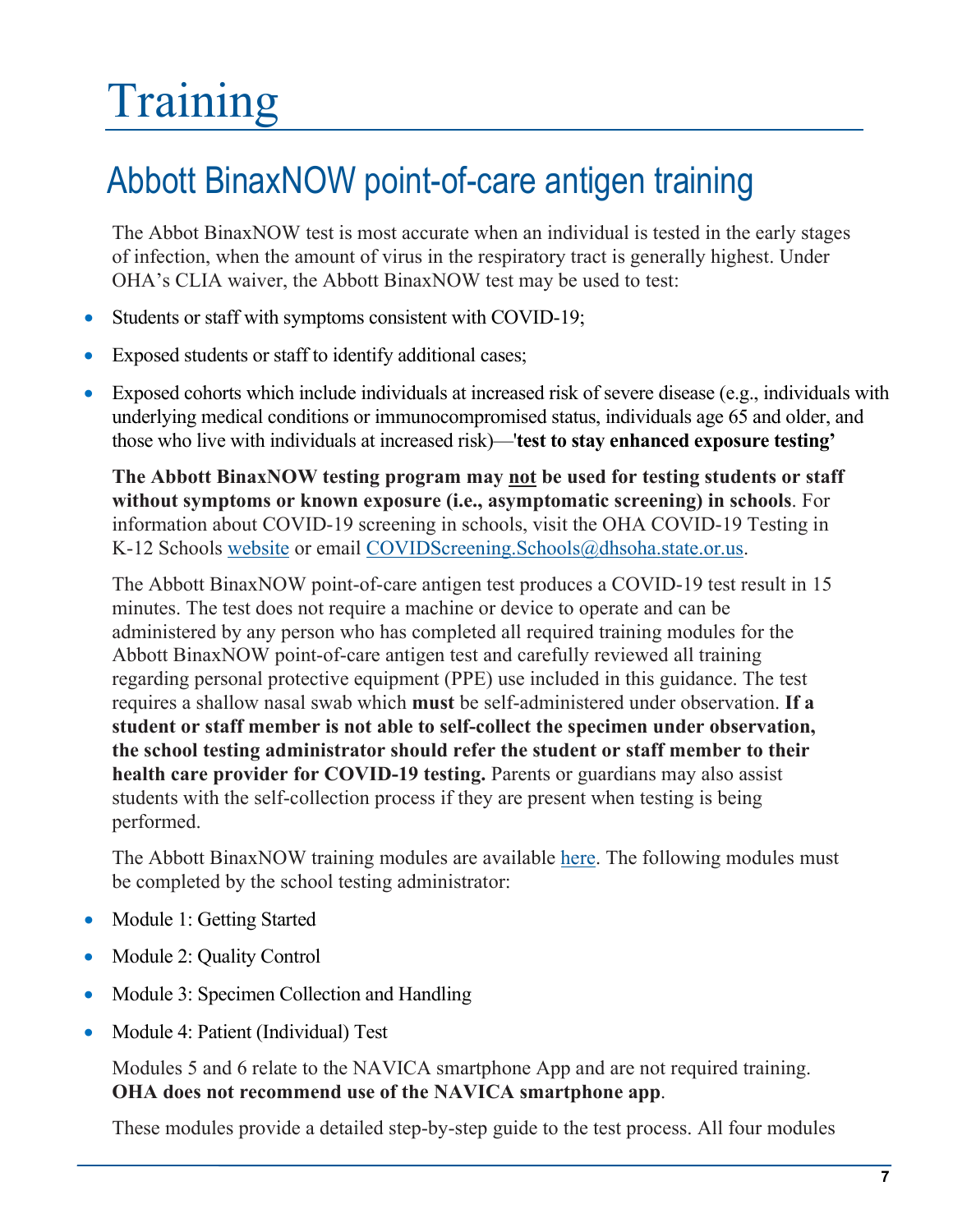# <span id="page-6-0"></span>Training

### <span id="page-6-1"></span>Abbott BinaxNOW point-of-care antigen training

The Abbot BinaxNOW test is most accurate when an individual is tested in the early stages of infection, when the amount of virus in the respiratory tract is generally highest. Under OHA's CLIA waiver, the Abbott BinaxNOW test may be used to test:

- Students or staff with symptoms consistent with COVID-19;
- Exposed students or staff to identify additional cases;
- Exposed cohorts which include individuals at increased risk of severe disease (e.g., individuals with underlying medical conditions or immunocompromised status, individuals age 65 and older, and those who live with individuals at increased risk)—'**test to stay enhanced exposure testing'**

**The Abbott BinaxNOW testing program may not be used for testing students or staff without symptoms or known exposure (i.e., asymptomatic screening) in schools**. For information about COVID-19 screening in schools, visit the OHA COVID-19 Testing in K-12 Schools [website](https://www.oregon.gov/oha/covid19/Pages/K-12-COVID-19-Testing.aspx) or email [COVIDScreening.Schools@dhsoha.state.or.us.](mailto:COVIDScreening.Schools@dhsoha.state.or.us)

The Abbott BinaxNOW point-of-care antigen test produces a COVID-19 test result in 15 minutes. The test does not require a machine or device to operate and can be administered by any person who has completed all required training modules for the Abbott BinaxNOW point-of-care antigen test and carefully reviewed all training regarding personal protective equipment (PPE) use included in this guidance. The test requires a shallow nasal swab which **must** be self-administered under observation. **If a student or staff member is not able to self-collect the specimen under observation, the school testing administrator should refer the student or staff member to their health care provider for COVID-19 testing.** Parents or guardians may also assist students with the self-collection process if they are present when testing is being performed.

The Abbott BinaxNOW training modules are available [here.](https://www.globalpointofcare.abbott/en/support/product-installation-training/navica-brand/navica-binaxnow-ag-training.html) The following modules must be completed by the school testing administrator:

- Module 1: Getting Started
- Module 2: Quality Control
- Module 3: Specimen Collection and Handling
- Module 4: Patient (Individual) Test

Modules 5 and 6 relate to the NAVICA smartphone App and are not required training. **OHA does not recommend use of the NAVICA smartphone app**.

These modules provide a detailed step-by-step guide to the test process. All four modules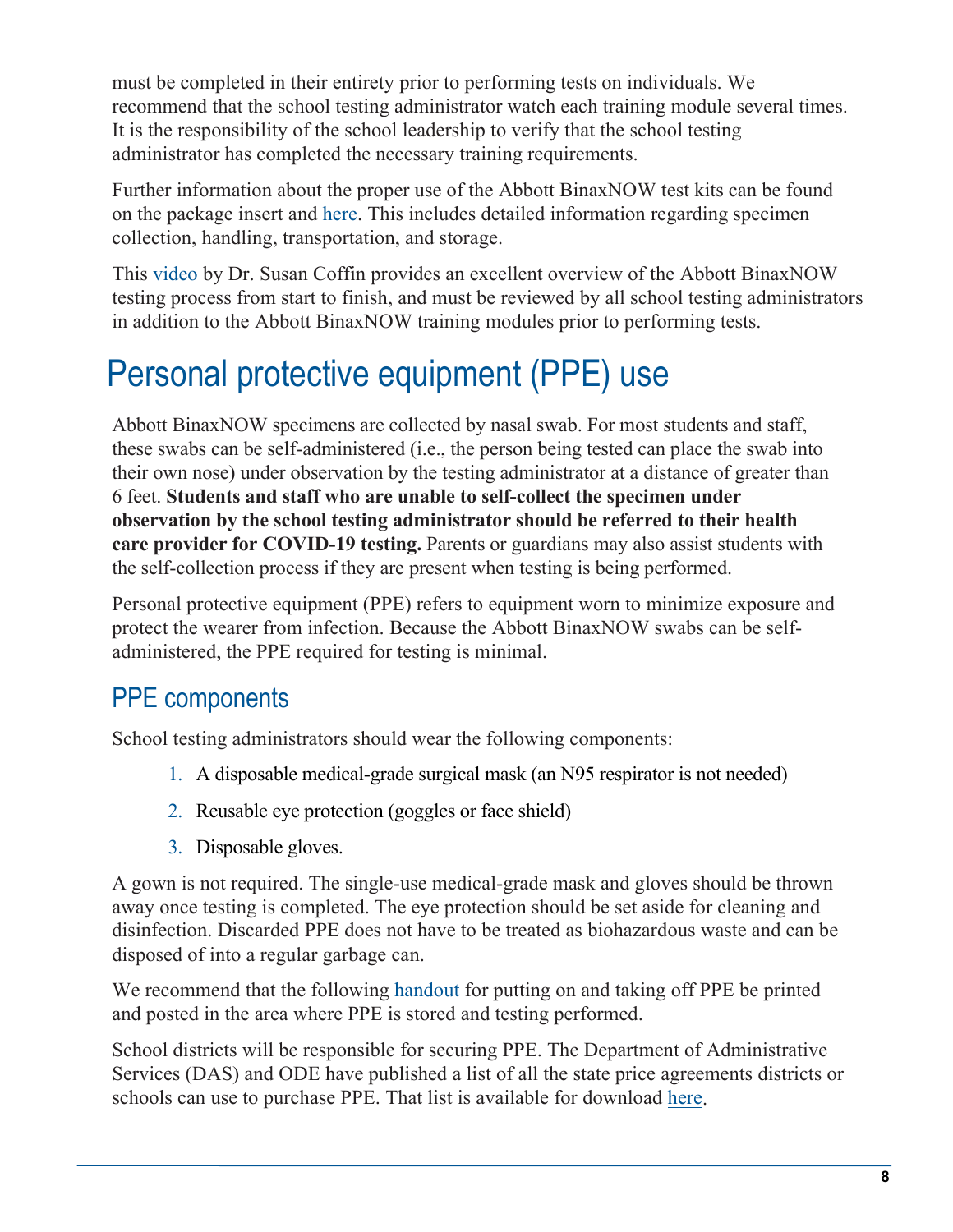must be completed in their entirety prior to performing tests on individuals. We recommend that the school testing administrator watch each training module several times. It is the responsibility of the school leadership to verify that the school testing administrator has completed the necessary training requirements.

Further information about the proper use of the Abbott BinaxNOW test kits can be found on the package insert and [here.](https://www.fda.gov/media/141570/download) This includes detailed information regarding specimen collection, handling, transportation, and storage.

This [video](https://www.youtube.com/watch?v=rRZLDwEHkgY&feature=youtu.be) by Dr. Susan Coffin provides an excellent overview of the Abbott BinaxNOW testing process from start to finish, and must be reviewed by all school testing administrators in addition to the Abbott BinaxNOW training modules prior to performing tests.

### <span id="page-7-0"></span>Personal protective equipment (PPE) use

Abbott BinaxNOW specimens are collected by nasal swab. For most students and staff, these swabs can be self-administered (i.e., the person being tested can place the swab into their own nose) under observation by the testing administrator at a distance of greater than 6 feet. **Students and staff who are unable to self-collect the specimen under observation by the school testing administrator should be referred to their health care provider for COVID-19 testing.** Parents or guardians may also assist students with the self-collection process if they are present when testing is being performed.

Personal protective equipment (PPE) refers to equipment worn to minimize exposure and protect the wearer from infection. Because the Abbott BinaxNOW swabs can be selfadministered, the PPE required for testing is minimal.

#### <span id="page-7-1"></span>PPE components

School testing administrators should wear the following components:

- 1. A disposable medical-grade surgical mask (an N95 respirator is not needed)
- 2. Reusable eye protection (goggles or face shield)
- 3. Disposable gloves.

A gown is not required. The single-use medical-grade mask and gloves should be thrown away once testing is completed. The eye protection should be set aside for cleaning and disinfection. Discarded PPE does not have to be treated as biohazardous waste and can be disposed of into a regular garbage can.

We recommend that the following [handout](https://sharedsystems.dhsoha.state.or.us/DHSForms/Served/le3559.pdf) for putting on and taking off PPE be printed and posted in the area where PPE is stored and testing performed.

School districts will be responsible for securing PPE. The Department of Administrative Services (DAS) and ODE have published a list of all the state price agreements districts or schools can use to purchase PPE. That list is available for download [here.](https://www.oregon.gov/ode/schools-and-districts/grants/Pages/CARES-Act-Resources.aspx)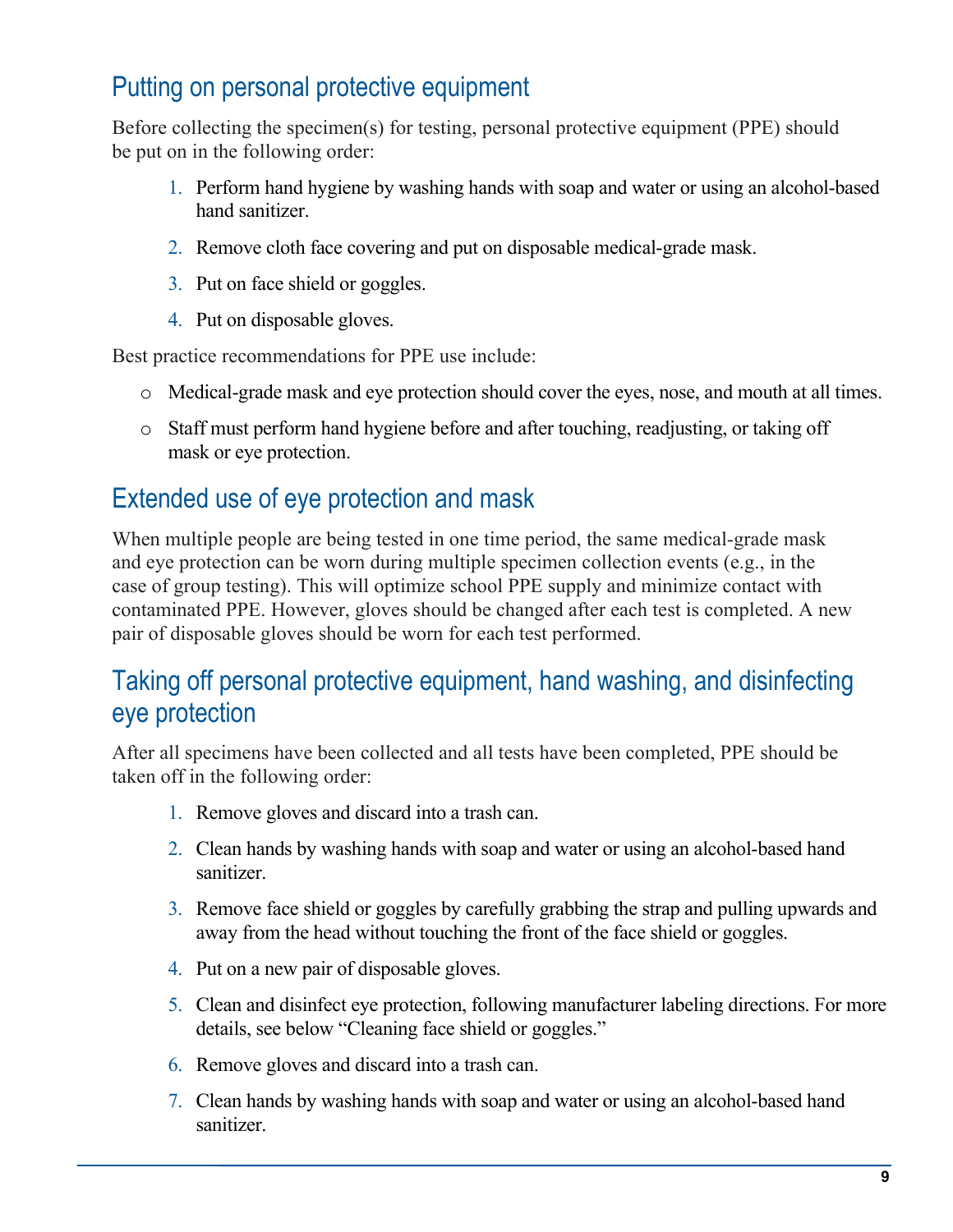#### <span id="page-8-0"></span>Putting on personal protective equipment

Before collecting the specimen(s) for testing, personal protective equipment (PPE) should be put on in the following order:

- 1. Perform hand hygiene by washing hands with soap and water or using an alcohol-based hand sanitizer.
- 2. Remove cloth face covering and put on disposable medical-grade mask.
- 3. Put on face shield or goggles.
- 4. Put on disposable gloves.

Best practice recommendations for PPE use include:

- o Medical-grade mask and eye protection should cover the eyes, nose, and mouth at all times.
- o Staff must perform hand hygiene before and after touching, readjusting, or taking off mask or eye protection.

#### <span id="page-8-1"></span>Extended use of eye protection and mask

When multiple people are being tested in one time period, the same medical-grade mask and eye protection can be worn during multiple specimen collection events (e.g., in the case of group testing). This will optimize school PPE supply and minimize contact with contaminated PPE. However, gloves should be changed after each test is completed. A new pair of disposable gloves should be worn for each test performed.

#### <span id="page-8-2"></span>Taking off personal protective equipment, hand washing, and disinfecting eye protection

After all specimens have been collected and all tests have been completed, PPE should be taken off in the following order:

- 1. Remove gloves and discard into a trash can.
- 2. Clean hands by washing hands with soap and water or using an alcohol-based hand sanitizer.
- 3. Remove face shield or goggles by carefully grabbing the strap and pulling upwards and away from the head without touching the front of the face shield or goggles.
- 4. Put on a new pair of disposable gloves.
- 5. Clean and disinfect eye protection, following manufacturer labeling directions. For more details, see below "Cleaning face shield or goggles."
- 6. Remove gloves and discard into a trash can.
- 7. Clean hands by washing hands with soap and water or using an alcohol-based hand sanitizer.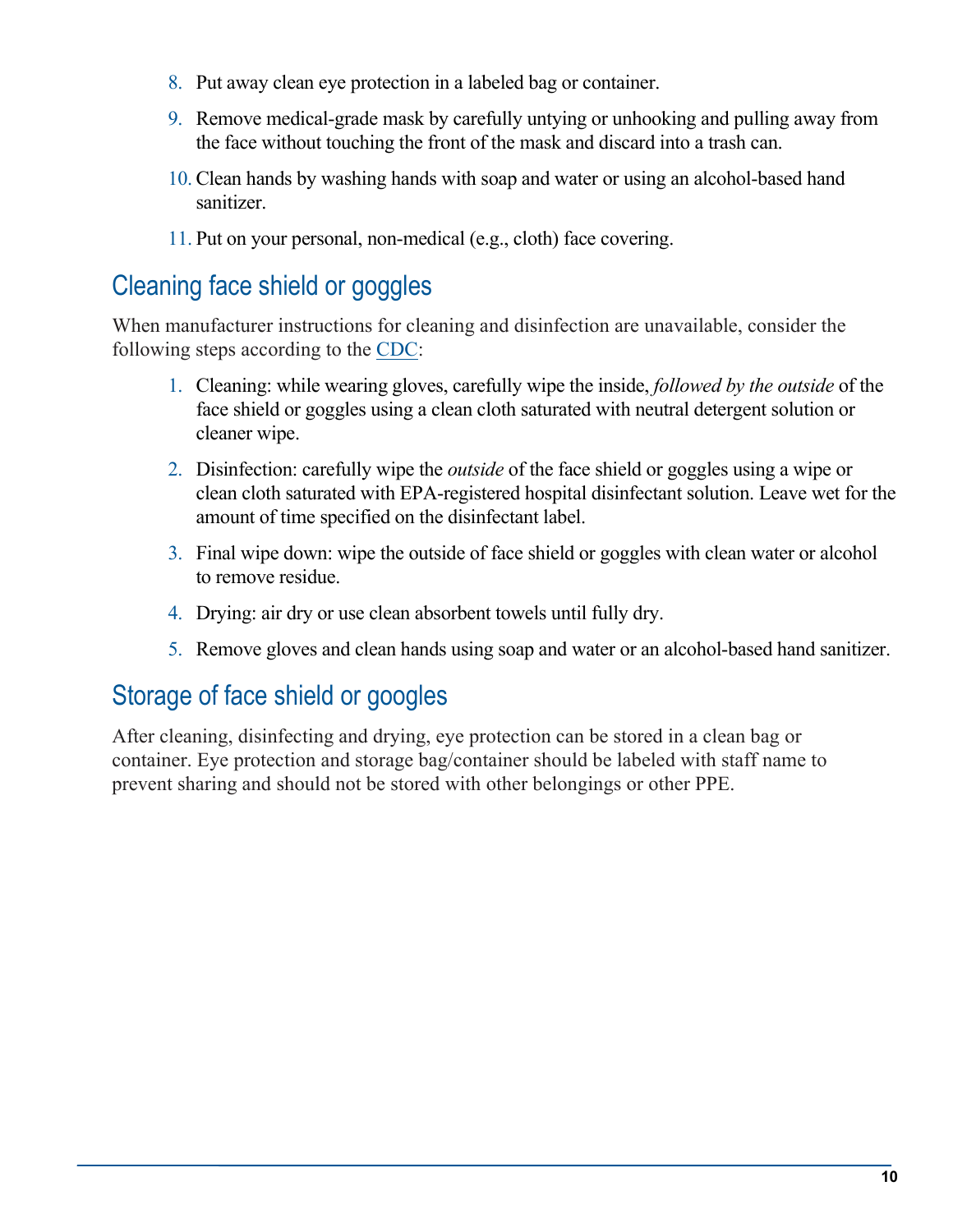- 8. Put away clean eye protection in a labeled bag or container.
- 9. Remove medical-grade mask by carefully untying or unhooking and pulling away from the face without touching the front of the mask and discard into a trash can.
- 10. Clean hands by washing hands with soap and water or using an alcohol-based hand sanitizer.
- 11. Put on your personal, non-medical (e.g., cloth) face covering.

#### <span id="page-9-0"></span>Cleaning face shield or goggles

When manufacturer instructions for cleaning and disinfection are unavailable, consider the following steps according to the [CDC:](https://www.cdc.gov/coronavirus/2019-ncov/hcp/ppe-strategy/eye-protection.html)

- 1. Cleaning: while wearing gloves, carefully wipe the inside, *followed by the outside* of the face shield or goggles using a clean cloth saturated with neutral detergent solution or cleaner wipe.
- 2. Disinfection: carefully wipe the *outside* of the face shield or goggles using a wipe or clean cloth saturated with EPA-registered hospital disinfectant solution. Leave wet for the amount of time specified on the disinfectant label.
- 3. Final wipe down: wipe the outside of face shield or goggles with clean water or alcohol to remove residue.
- 4. Drying: air dry or use clean absorbent towels until fully dry.
- 5. Remove gloves and clean hands using soap and water or an alcohol-based hand sanitizer.

#### <span id="page-9-1"></span>Storage of face shield or googles

After cleaning, disinfecting and drying, eye protection can be stored in a clean bag or container. Eye protection and storage bag/container should be labeled with staff name to prevent sharing and should not be stored with other belongings or other PPE.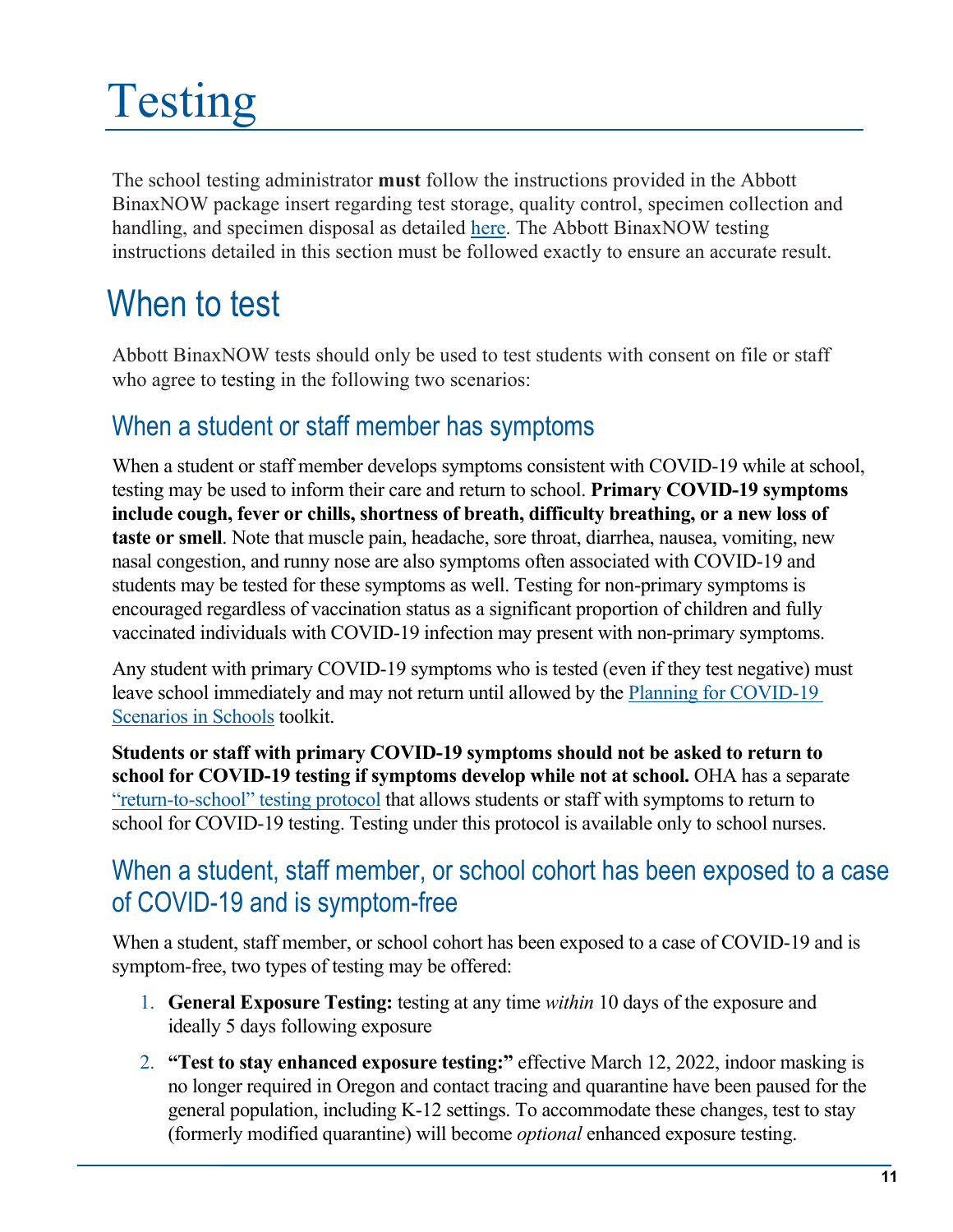# <span id="page-10-0"></span>Testing

The school testing administrator **must** follow the instructions provided in the Abbott BinaxNOW package insert regarding test storage, quality control, specimen collection and handling, and specimen disposal as detailed [here.](https://www.fda.gov/media/141570/download) The Abbott BinaxNOW testing instructions detailed in this section must be followed exactly to ensure an accurate result.

### <span id="page-10-1"></span>When to test

Abbott BinaxNOW tests should only be used to test students with consent on file or staff who agree to testing in the following two scenarios:

#### <span id="page-10-2"></span>When a student or staff member has symptoms

When a student or staff member develops symptoms consistent with COVID-19 while at school, testing may be used to inform their care and return to school. **Primary COVID-19 symptoms include cough, fever or chills, shortness of breath, difficulty breathing, or a new loss of taste or smell**. Note that muscle pain, headache, sore throat, diarrhea, nausea, vomiting, new nasal congestion, and runny nose are also symptoms often associated with COVID-19 and students may be tested for these symptoms as well. Testing for non-primary symptoms is encouraged regardless of vaccination status as a significant proportion of children and fully vaccinated individuals with COVID-19 infection may present with non-primary symptoms.

Any student with primary COVID-19 symptoms who is tested (even if they test negative) must leave school immediately and may not return until allowed by the [Planning for COVID-19](https://www.oregon.gov/ode/students-and-family/healthsafety/Documents/Planning%20and%20Responding%20to%20COVID-19%20Scenarios%20in%20Schools.pdf)  [Scenarios in Schools](https://www.oregon.gov/ode/students-and-family/healthsafety/Documents/Planning%20and%20Responding%20to%20COVID-19%20Scenarios%20in%20Schools.pdf) toolkit.

**Students or staff with primary COVID-19 symptoms should not be asked to return to school for COVID-19 testing if symptoms develop while not at school.** OHA has a separate ["return-to-school" testing protocol](https://sharedsystems.dhsoha.state.or.us/DHSForms/Served/le3560F.pdf) that allows students or staff with symptoms to return to school for COVID-19 testing. Testing under this protocol is available only to school nurses.

#### <span id="page-10-3"></span>When a student, staff member, or school cohort has been exposed to a case of COVID-19 and is symptom-free

When a student, staff member, or school cohort has been exposed to a case of COVID-19 and is symptom-free, two types of testing may be offered:

- 1. **General Exposure Testing:** testing at any time *within* 10 days of the exposure and ideally 5 days following exposure
- 2. **"Test to stay enhanced exposure testing:"** effective March 12, 2022, indoor masking is no longer required in Oregon and contact tracing and quarantine have been paused for the general population, including K-12 settings. To accommodate these changes, test to stay (formerly modified quarantine) will become *optional* enhanced exposure testing.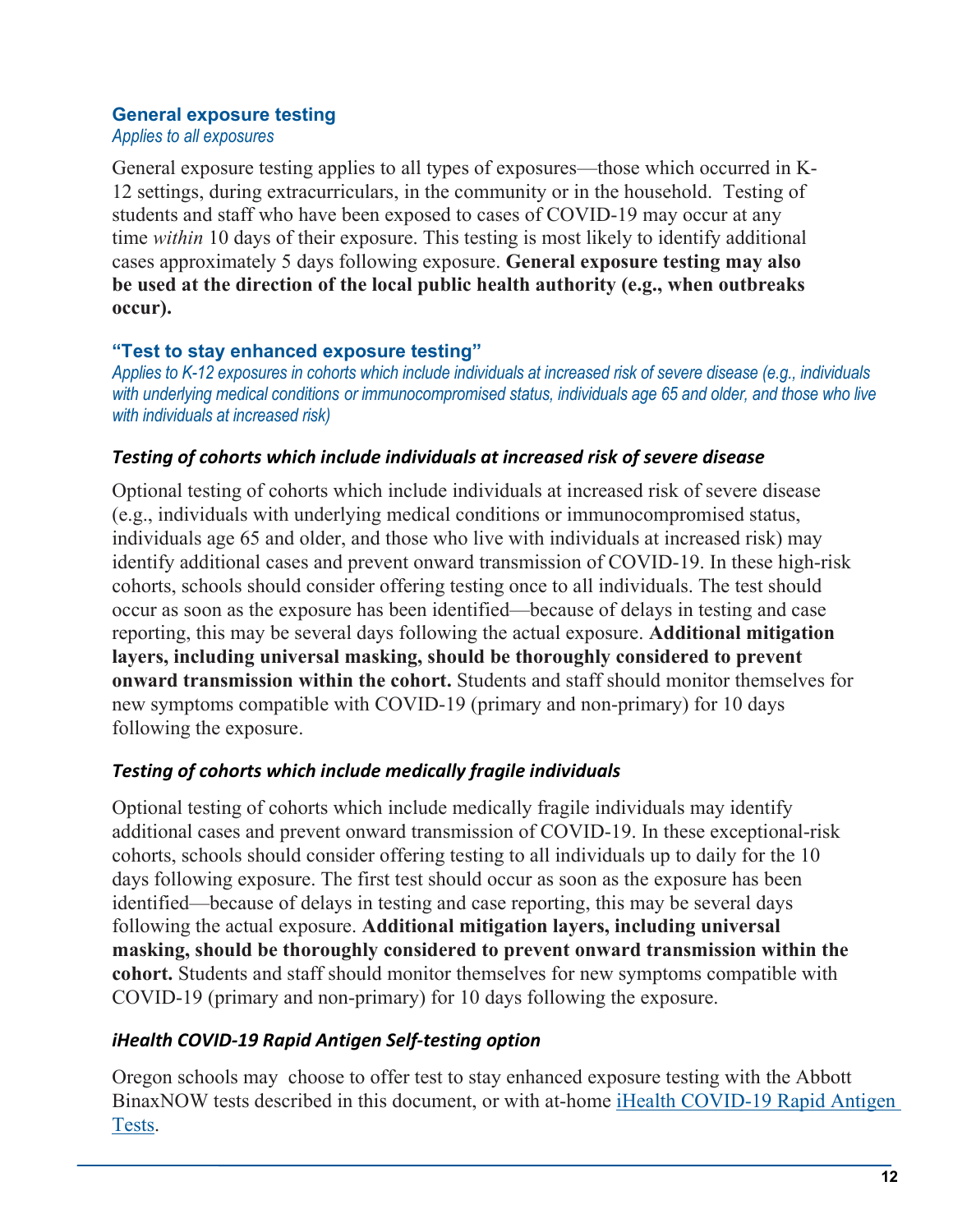#### **General exposure testing**

*Applies to all exposures*

General exposure testing applies to all types of exposures—those which occurred in K-12 settings, during extracurriculars, in the community or in the household. Testing of students and staff who have been exposed to cases of COVID-19 may occur at any time *within* 10 days of their exposure. This testing is most likely to identify additional cases approximately 5 days following exposure. **General exposure testing may also be used at the direction of the local public health authority (e.g., when outbreaks occur).**

#### **"Test to stay enhanced exposure testing"**

*Applies to K-12 exposures in cohorts which include individuals at increased risk of severe disease (e.g., individuals with underlying medical conditions or immunocompromised status, individuals age 65 and older, and those who live with individuals at increased risk)*

#### *Testing of cohorts which include individuals at increased risk of severe disease*

Optional testing of cohorts which include individuals at increased risk of severe disease (e.g., individuals with underlying medical conditions or immunocompromised status, individuals age 65 and older, and those who live with individuals at increased risk) may identify additional cases and prevent onward transmission of COVID-19. In these high-risk cohorts, schools should consider offering testing once to all individuals. The test should occur as soon as the exposure has been identified—because of delays in testing and case reporting, this may be several days following the actual exposure. **Additional mitigation layers, including universal masking, should be thoroughly considered to prevent onward transmission within the cohort.** Students and staff should monitor themselves for new symptoms compatible with COVID-19 (primary and non-primary) for 10 days following the exposure.

#### *Testing of cohorts which include medically fragile individuals*

Optional testing of cohorts which include medically fragile individuals may identify additional cases and prevent onward transmission of COVID-19. In these exceptional-risk cohorts, schools should consider offering testing to all individuals up to daily for the 10 days following exposure. The first test should occur as soon as the exposure has been identified—because of delays in testing and case reporting, this may be several days following the actual exposure. **Additional mitigation layers, including universal masking, should be thoroughly considered to prevent onward transmission within the cohort.** Students and staff should monitor themselves for new symptoms compatible with COVID-19 (primary and non-primary) for 10 days following the exposure.

#### *iHealth COVID-19 Rapid Antigen Self-testing option*

Oregon schools may choose to offer test to stay enhanced exposure testing with the Abbott BinaxNOW tests described in this document, or with at-home iHealth [COVID-19 Rapid Antigen](https://ihealthlabs.com/) [Tests.](https://ihealthlabs.com/)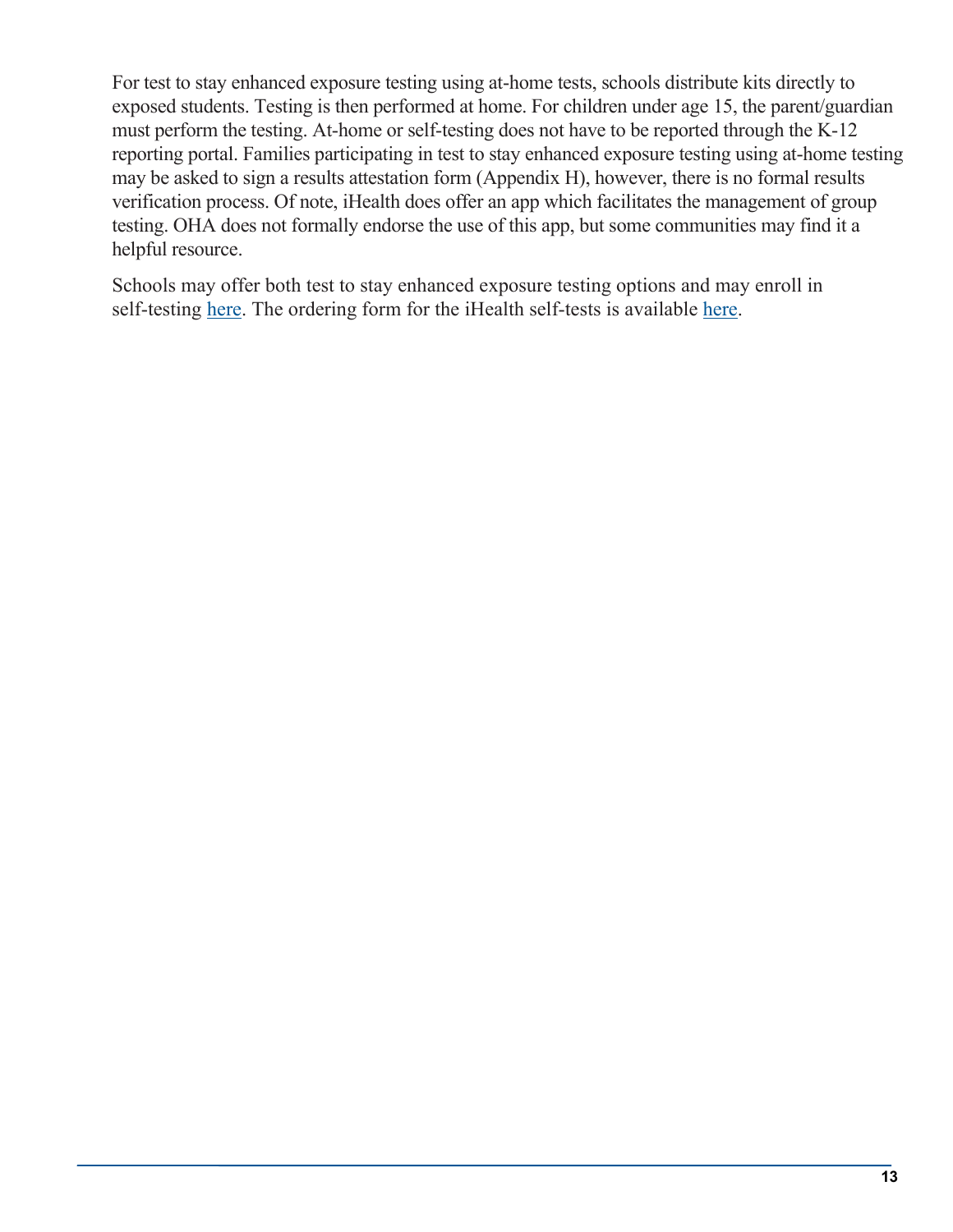For test to stay enhanced exposure testing using at-home tests, schools distribute kits directly to exposed students. Testing is then performed at home. For children under age 15, the parent/guardian must perform the testing. At-home or self-testing does not have to be reported through the K-12 reporting portal. Families participating in test to stay enhanced exposure testing using at-home testing may be asked to sign a results attestation form (Appendix H), however, there is no formal results verification process. Of note, iHealth does offer an app which facilitates the management of group testing. OHA does not formally endorse the use of this app, but some communities may find it a helpful resource.

Schools may offer both test to stay enhanced exposure testing options and may enroll in self-testing [here.](https://app.smartsheet.com/b/form/0d11d783d671400ca595b96bd683b696) The ordering form for the iHealth self-tests is available [here.](https://app.smartsheet.com/b/form/831e6bd4db324072b7720b6e64fcfa42)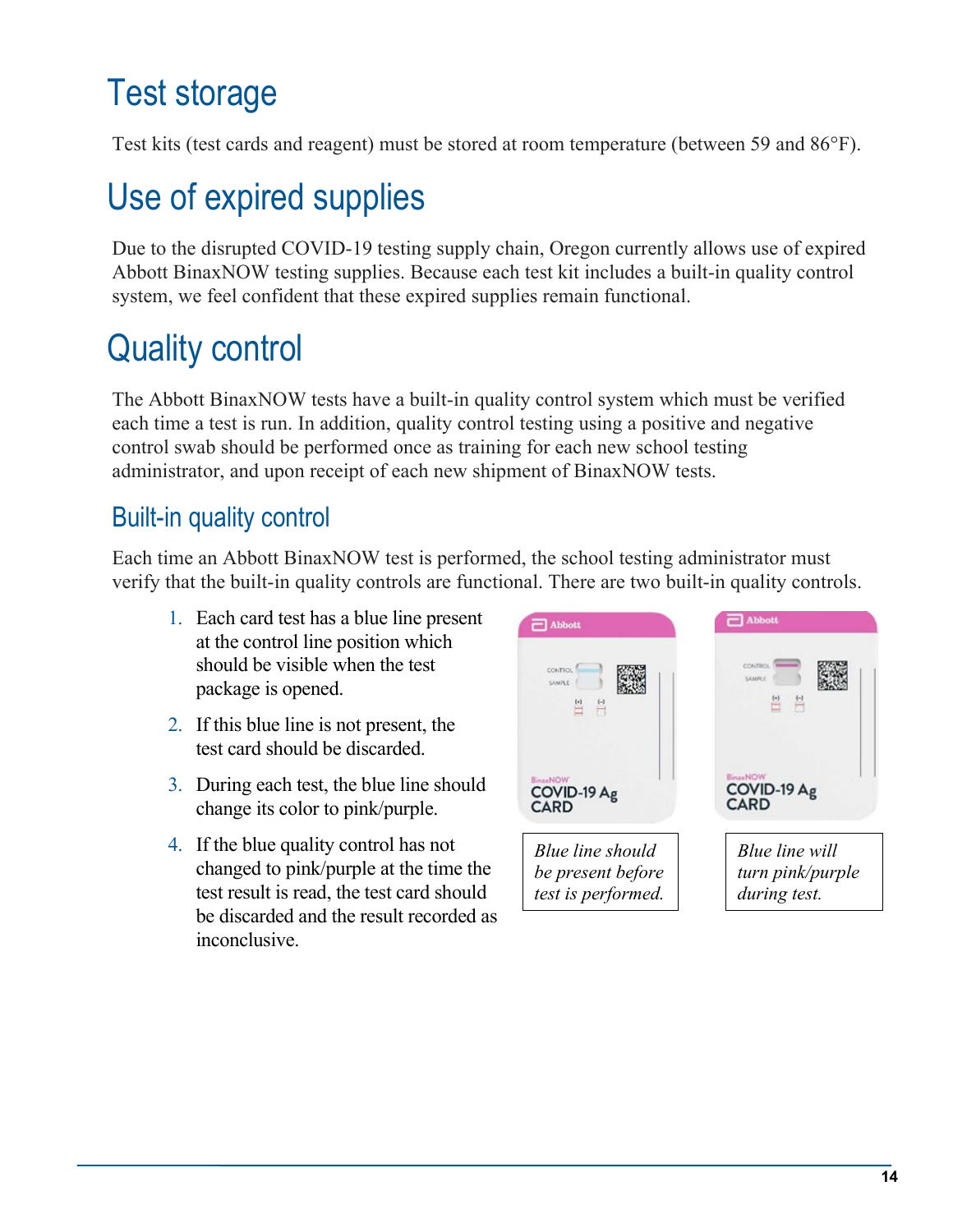### <span id="page-13-0"></span>Test storage

Test kits (test cards and reagent) must be stored at room temperature (between 59 and 86°F).

### <span id="page-13-1"></span>Use of expired supplies

Due to the disrupted COVID-19 testing supply chain, Oregon currently allows use of expired Abbott BinaxNOW testing supplies. Because each test kit includes a built-in quality control system, we feel confident that these expired supplies remain functional.

### <span id="page-13-2"></span>Quality control

The Abbott BinaxNOW tests have a built-in quality control system which must be verified each time a test is run. In addition, quality control testing using a positive and negative control swab should be performed once as training for each new school testing administrator, and upon receipt of each new shipment of BinaxNOW tests.

#### <span id="page-13-3"></span>Built-in quality control

Each time an Abbott BinaxNOW test is performed, the school testing administrator must verify that the built-in quality controls are functional. There are two built-in quality controls.

- 1. Each card test has a blue line present at the control line position which should be visible when the test package is opened.
- 2. If this blue line is not present, the test card should be discarded.
- 3. During each test, the blue line should change its color to pink/purple.
- 4. If the blue quality control has not changed to pink/purple at the time the test result is read, the test card should be discarded and the result recorded as inconclusive.

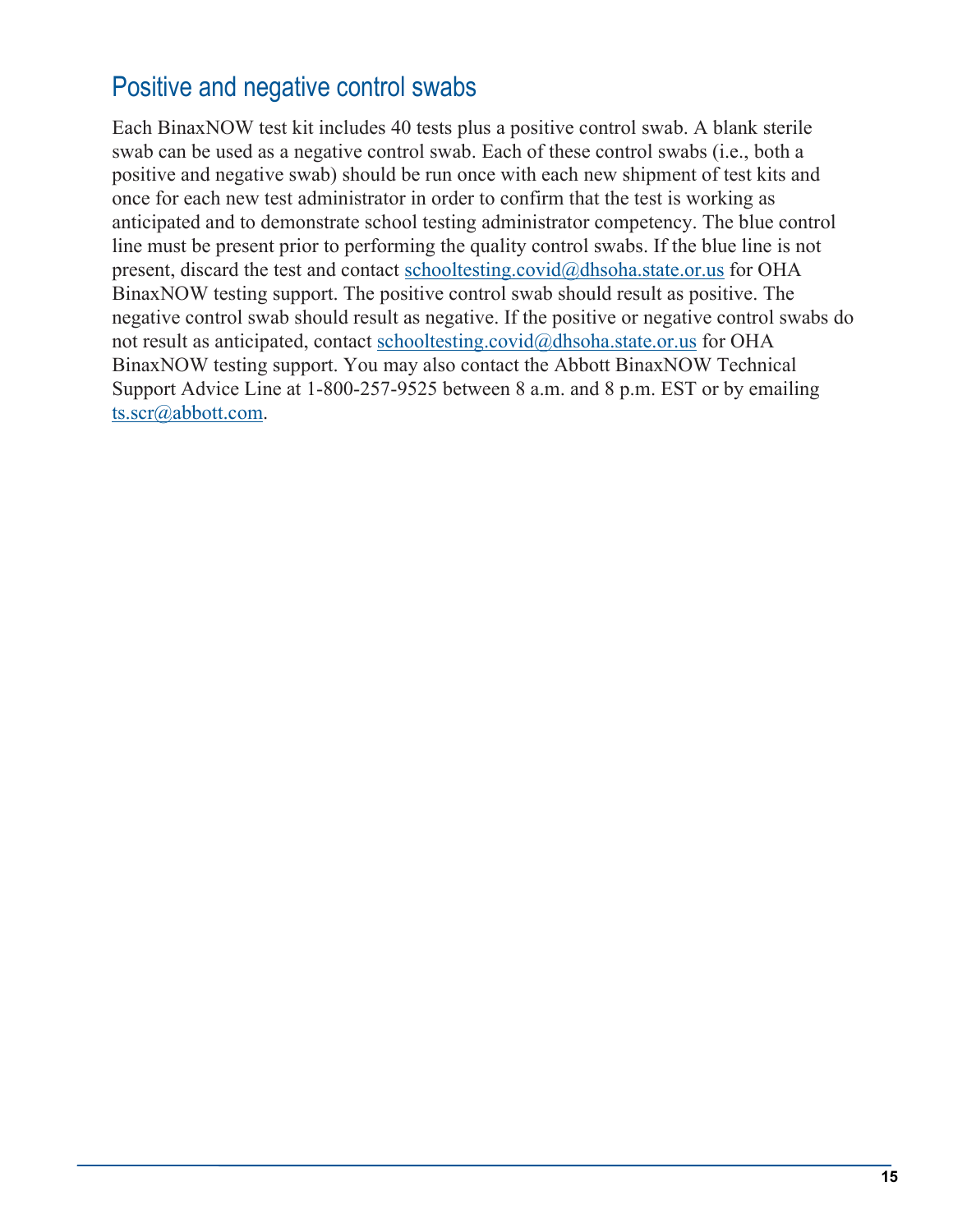#### <span id="page-14-0"></span>Positive and negative control swabs

Each BinaxNOW test kit includes 40 tests plus a positive control swab. A blank sterile swab can be used as a negative control swab. Each of these control swabs (i.e., both a positive and negative swab) should be run once with each new shipment of test kits and once for each new test administrator in order to confirm that the test is working as anticipated and to demonstrate school testing administrator competency. The blue control line must be present prior to performing the quality control swabs. If the blue line is not present, discard the test and contact [schooltesting.covid@dhsoha.state.or.us](mailto:schooltesting.covid@dhsoha.state.or.us) for OHA BinaxNOW testing support. The positive control swab should result as positive. The negative control swab should result as negative. If the positive or negative control swabs do not result as anticipated, contact [schooltesting.covid@dhsoha.state.or.us](mailto:schooltesting.covid@dhsoha.state.or.us) for OHA BinaxNOW testing support. You may also contact the Abbott BinaxNOW Technical Support Advice Line at 1-800-257-9525 between 8 a.m. and 8 p.m. EST or by emailing [ts.scr@abbott.com.](mailto:ts.scr@abbott.com)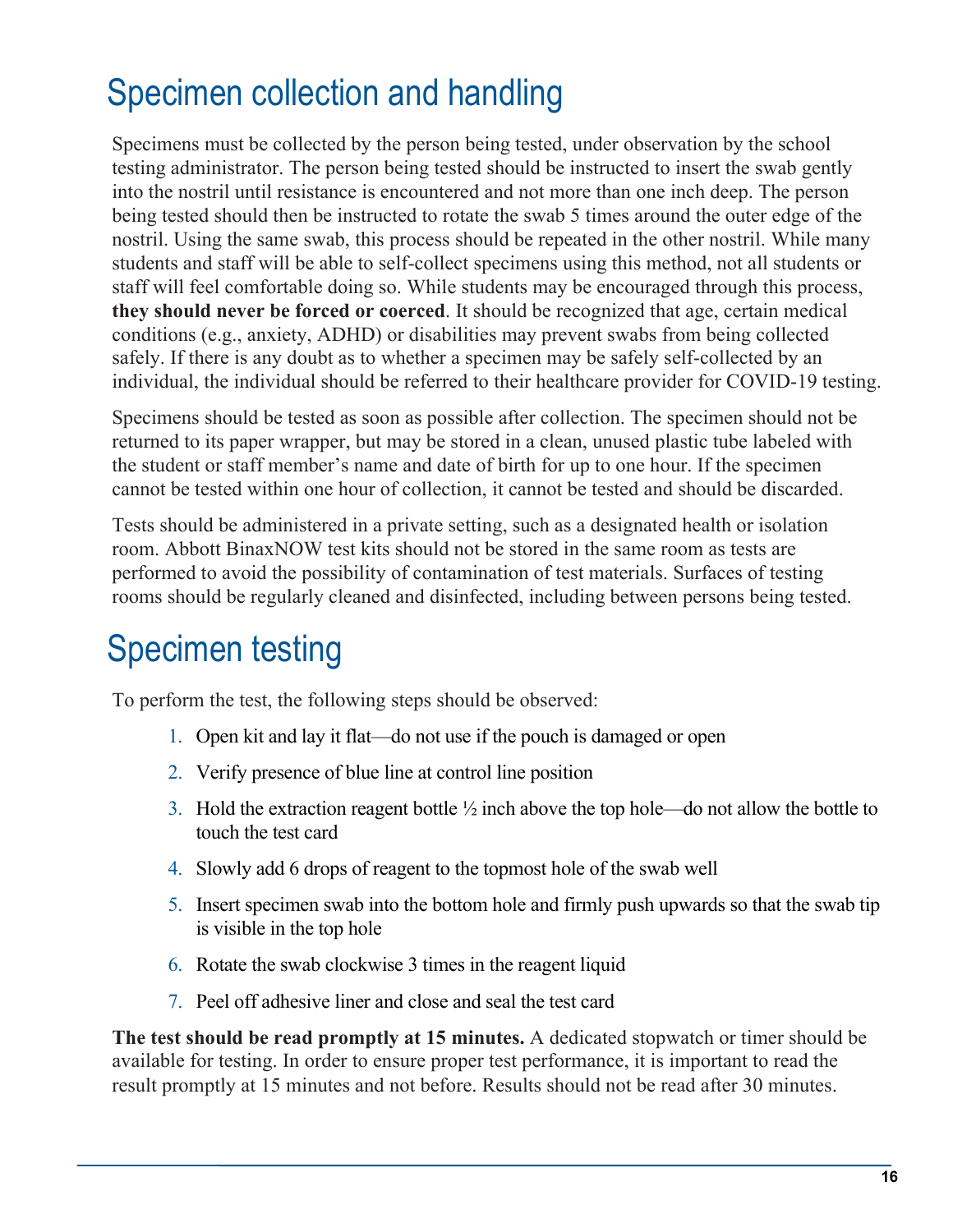### <span id="page-15-0"></span>Specimen collection and handling

Specimens must be collected by the person being tested, under observation by the school testing administrator. The person being tested should be instructed to insert the swab gently into the nostril until resistance is encountered and not more than one inch deep. The person being tested should then be instructed to rotate the swab 5 times around the outer edge of the nostril. Using the same swab, this process should be repeated in the other nostril. While many students and staff will be able to self-collect specimens using this method, not all students or staff will feel comfortable doing so. While students may be encouraged through this process, **they should never be forced or coerced**. It should be recognized that age, certain medical conditions (e.g., anxiety, ADHD) or disabilities may prevent swabs from being collected safely. If there is any doubt as to whether a specimen may be safely self-collected by an individual, the individual should be referred to their healthcare provider for COVID-19 testing.

Specimens should be tested as soon as possible after collection. The specimen should not be returned to its paper wrapper, but may be stored in a clean, unused plastic tube labeled with the student or staff member's name and date of birth for up to one hour. If the specimen cannot be tested within one hour of collection, it cannot be tested and should be discarded.

Tests should be administered in a private setting, such as a designated health or isolation room. Abbott BinaxNOW test kits should not be stored in the same room as tests are performed to avoid the possibility of contamination of test materials. Surfaces of testing rooms should be regularly cleaned and disinfected, including between persons being tested.

### <span id="page-15-1"></span>Specimen testing

To perform the test, the following steps should be observed:

- 1. Open kit and lay it flat—do not use if the pouch is damaged or open
- 2. Verify presence of blue line at control line position
- 3. Hold the extraction reagent bottle  $\frac{1}{2}$  inch above the top hole—do not allow the bottle to touch the test card
- 4. Slowly add 6 drops of reagent to the topmost hole of the swab well
- 5. Insert specimen swab into the bottom hole and firmly push upwards so that the swab tip is visible in the top hole
- 6. Rotate the swab clockwise 3 times in the reagent liquid
- 7. Peel off adhesive liner and close and seal the test card

**The test should be read promptly at 15 minutes.** A dedicated stopwatch or timer should be available for testing. In order to ensure proper test performance, it is important to read the result promptly at 15 minutes and not before. Results should not be read after 30 minutes.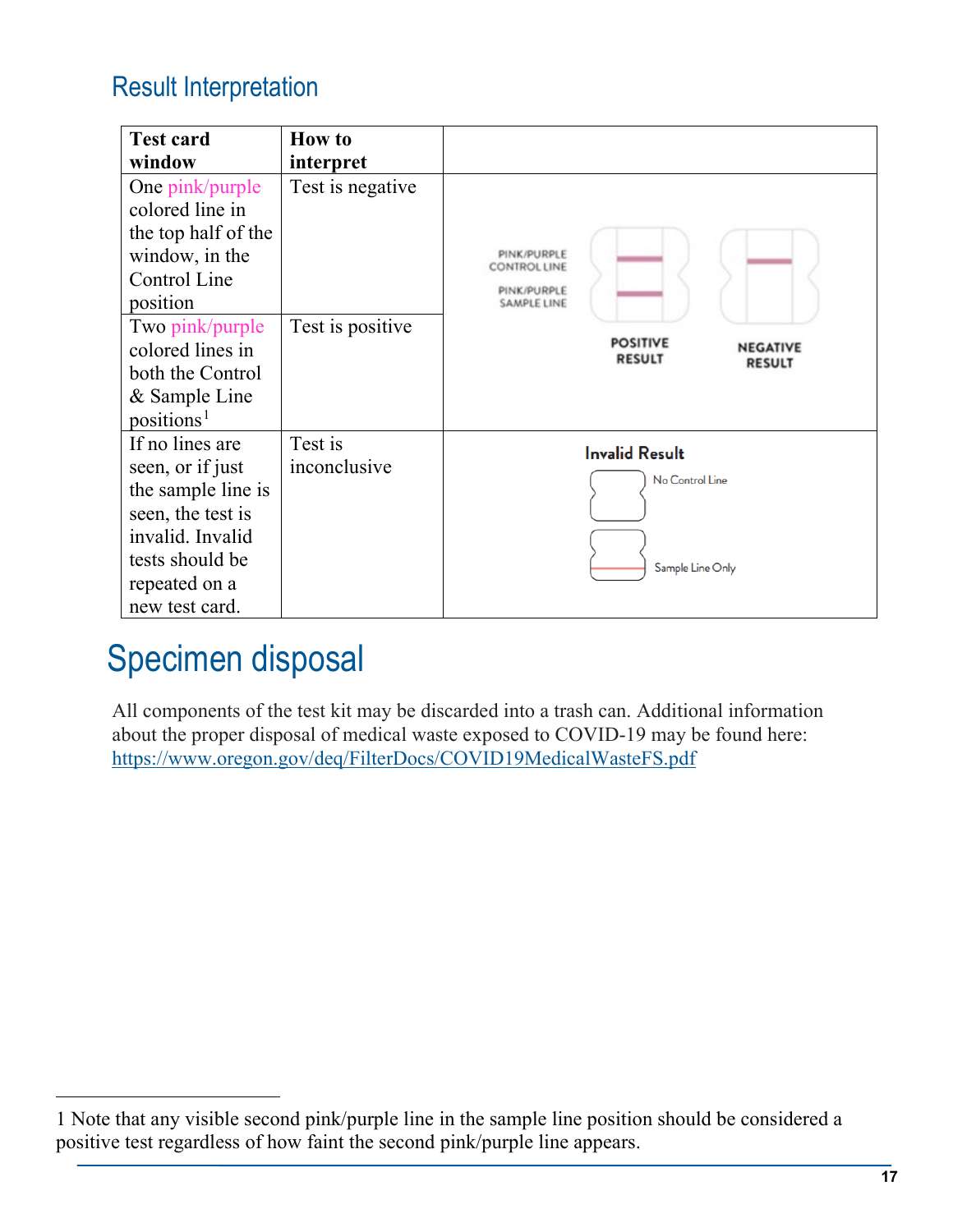#### <span id="page-16-0"></span>Result Interpretation

| <b>Test card</b>       | <b>How to</b>    |                                                                      |
|------------------------|------------------|----------------------------------------------------------------------|
| window                 | interpret        |                                                                      |
| One pink/purple        | Test is negative |                                                                      |
| colored line in        |                  |                                                                      |
| the top half of the    |                  |                                                                      |
| window, in the         |                  | PINK/PURPLE<br><b>CONTROL LINE</b>                                   |
| Control Line           |                  | PINK/PURPLE                                                          |
| position               |                  | <b>SAMPLE LINE</b>                                                   |
| Two pink/purple        | Test is positive |                                                                      |
| colored lines in       |                  | <b>POSITIVE</b><br><b>NEGATIVE</b><br><b>RESULT</b><br><b>RESULT</b> |
| both the Control       |                  |                                                                      |
| & Sample Line          |                  |                                                                      |
| positions <sup>1</sup> |                  |                                                                      |
| If no lines are        | Test is          | <b>Invalid Result</b>                                                |
| seen, or if just       | inconclusive     | No Control Line                                                      |
| the sample line is     |                  |                                                                      |
| seen, the test is      |                  |                                                                      |
| invalid. Invalid       |                  |                                                                      |
| tests should be        |                  | Sample Line Only                                                     |
| repeated on a          |                  |                                                                      |
| new test card.         |                  |                                                                      |

### <span id="page-16-1"></span>Specimen disposal

All components of the test kit may be discarded into a trash can. Additional information about the proper disposal of medical waste exposed to COVID-19 may be found here: <https://www.oregon.gov/deq/FilterDocs/COVID19MedicalWasteFS.pdf>

<span id="page-16-2"></span><sup>1</sup> Note that any visible second pink/purple line in the sample line position should be considered a positive test regardless of how faint the second pink/purple line appears.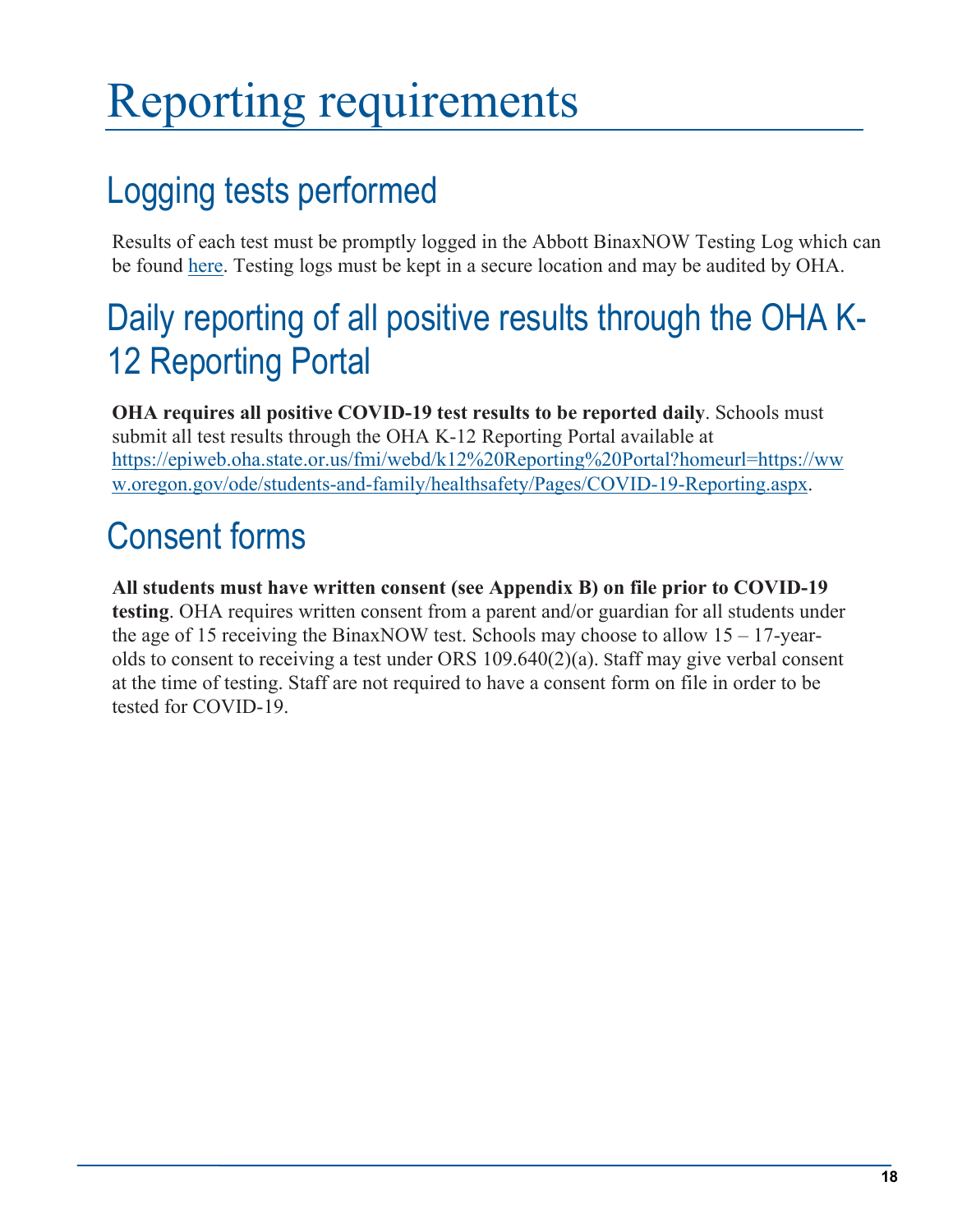# <span id="page-17-0"></span>Reporting requirements

### <span id="page-17-1"></span>Logging tests performed

Results of each test must be promptly logged in the Abbott BinaxNOW Testing Log which can be found [here.](https://sharedsystems.dhsoha.state.or.us/DHSForms/Served/le3562.docx) Testing logs must be kept in a secure location and may be audited by OHA.

### <span id="page-17-2"></span>Daily reporting of all positive results through the OHA K-12 Reporting Portal

**OHA requires all positive COVID-19 test results to be reported daily**. Schools must submit all test results through the OHA K-12 Reporting Portal available at [https://epiweb.oha.state.or.us/fmi/webd/k12%20Reporting%20Portal?homeurl=https://ww](https://epiweb.oha.state.or.us/fmi/webd/k12%20Reporting%20Portal?homeurl=https://www.oregon.gov/ode/students-and-family/healthsafety/Pages/COVID-19-Reporting.aspx) [w.oregon.gov/ode/students-and-family/healthsafety/Pages/COVID-19-Reporting.aspx.](https://epiweb.oha.state.or.us/fmi/webd/k12%20Reporting%20Portal?homeurl=https://www.oregon.gov/ode/students-and-family/healthsafety/Pages/COVID-19-Reporting.aspx)

### <span id="page-17-3"></span>Consent forms

**All students must have written consent (see Appendix B) on file prior to COVID-19 testing**. OHA requires written consent from a parent and/or guardian for all students under the age of 15 receiving the BinaxNOW test. Schools may choose to allow  $15 - 17$ -yearolds to consent to receiving a test under ORS 109.640(2)(a). Staff may give verbal consent at the time of testing. Staff are not required to have a consent form on file in order to be tested for COVID-19.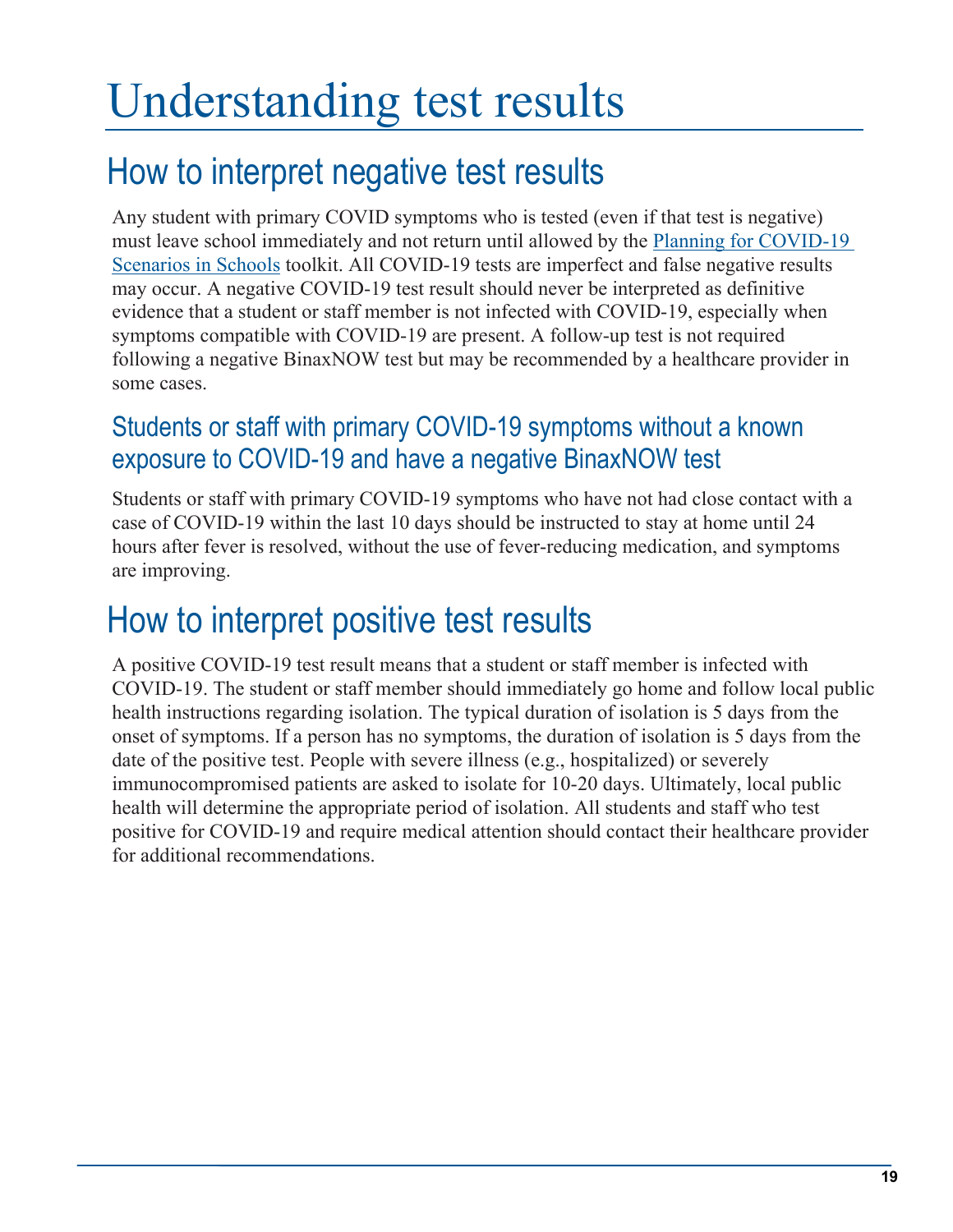# <span id="page-18-0"></span>Understanding test results

### <span id="page-18-1"></span>How to interpret negative test results

Any student with primary COVID symptoms who is tested (even if that test is negative) must leave school immediately and not return until allowed by the [Planning for COVID-19](https://www.oregon.gov/ode/students-and-family/healthsafety/Documents/Planning%20and%20Responding%20to%20COVID-19%20Scenarios%20in%20Schools.pdf)  [Scenarios in Schools](https://www.oregon.gov/ode/students-and-family/healthsafety/Documents/Planning%20and%20Responding%20to%20COVID-19%20Scenarios%20in%20Schools.pdf) toolkit. All COVID-19 tests are imperfect and false negative results may occur. A negative COVID-19 test result should never be interpreted as definitive evidence that a student or staff member is not infected with COVID-19, especially when symptoms compatible with COVID-19 are present. A follow-up test is not required following a negative BinaxNOW test but may be recommended by a healthcare provider in some cases.

#### <span id="page-18-2"></span>Students or staff with primary COVID-19 symptoms without a known exposure to COVID-19 and have a negative BinaxNOW test

Students or staff with primary COVID-19 symptoms who have not had close contact with a case of COVID-19 within the last 10 days should be instructed to stay at home until 24 hours after fever is resolved, without the use of fever-reducing medication, and symptoms are improving.

### <span id="page-18-3"></span>How to interpret positive test results

A positive COVID-19 test result means that a student or staff member is infected with COVID-19. The student or staff member should immediately go home and follow local public health instructions regarding isolation. The typical duration of isolation is 5 days from the onset of symptoms. If a person has no symptoms, the duration of isolation is 5 days from the date of the positive test. People with severe illness (e.g., hospitalized) or severely immunocompromised patients are asked to isolate for 10-20 days. Ultimately, local public health will determine the appropriate period of isolation. All students and staff who test positive for COVID-19 and require medical attention should contact their healthcare provider for additional recommendations.